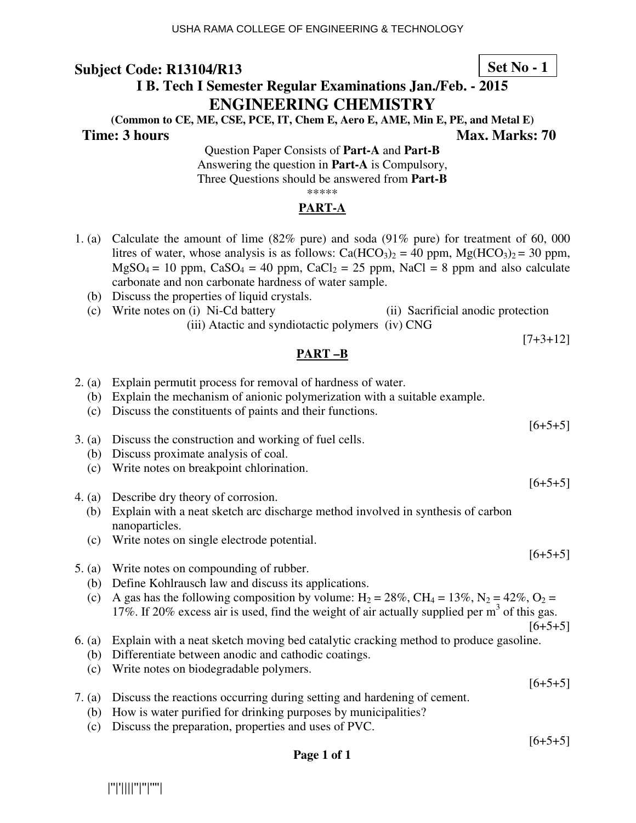# **I B. Tech I Semester Regular Examinations Jan./Feb. - 2015 ENGINEERING CHEMISTRY**

**(Common to CE, ME, CSE, PCE, IT, Chem E, Aero E, AME, Min E, PE, and Metal E) Time: 3 hours Max. Marks: 70 Max. Marks: 70** 

 $[7+3+12]$ 

Question Paper Consists of **Part-A** and **Part-B** Answering the question in **Part-A** is Compulsory, Three Questions should be answered from **Part-B** \*\*\*\*\*

## **PART-A**

- 1. (a) Calculate the amount of lime (82% pure) and soda (91% pure) for treatment of 60, 000 litres of water, whose analysis is as follows:  $Ca(HCO<sub>3</sub>)<sub>2</sub> = 40$  ppm,  $Mg(HCO<sub>3</sub>)<sub>2</sub> = 30$  ppm,  $MgSO_4 = 10$  ppm,  $CaSO_4 = 40$  ppm,  $CaCl_2 = 25$  ppm,  $NaCl = 8$  ppm and also calculate carbonate and non carbonate hardness of water sample.
	- (b) Discuss the properties of liquid crystals.
	- (c) Write notes on (i) Ni-Cd battery (ii) Sacrificial anodic protection (iii) Atactic and syndiotactic polymers (iv) CNG

### **PART –B**

- 2. (a) Explain permutit process for removal of hardness of water. (b) Explain the mechanism of anionic polymerization with a suitable example. (c) Discuss the constituents of paints and their functions.  $[6+5+5]$ 3. (a) Discuss the construction and working of fuel cells. (b) Discuss proximate analysis of coal. (c) Write notes on breakpoint chlorination.  $[6+5+5]$ 4. (a) Describe dry theory of corrosion. (b) Explain with a neat sketch arc discharge method involved in synthesis of carbon nanoparticles. (c) Write notes on single electrode potential.  $[6+5+5]$ 5. (a) Write notes on compounding of rubber. (b) Define Kohlrausch law and discuss its applications. (c) A gas has the following composition by volume:  $H_2 = 28\%$ ,  $CH_4 = 13\%$ ,  $N_2 = 42\%$ ,  $O_2 =$ 17%. If 20% excess air is used, find the weight of air actually supplied per  $m<sup>3</sup>$  of this gas.  $[6+5+5]$ 6. (a) Explain with a neat sketch moving bed catalytic cracking method to produce gasoline. (b) Differentiate between anodic and cathodic coatings. (c) Write notes on biodegradable polymers.  $[6+5+5]$ 7. (a) Discuss the reactions occurring during setting and hardening of cement. (b) How is water purified for drinking purposes by municipalities?
	- (c) Discuss the preparation, properties and uses of PVC.

 $[6+5+5]$ 

**Page 1 of 1** 

|''|'||||''|''|''''|

### **Set No - 1**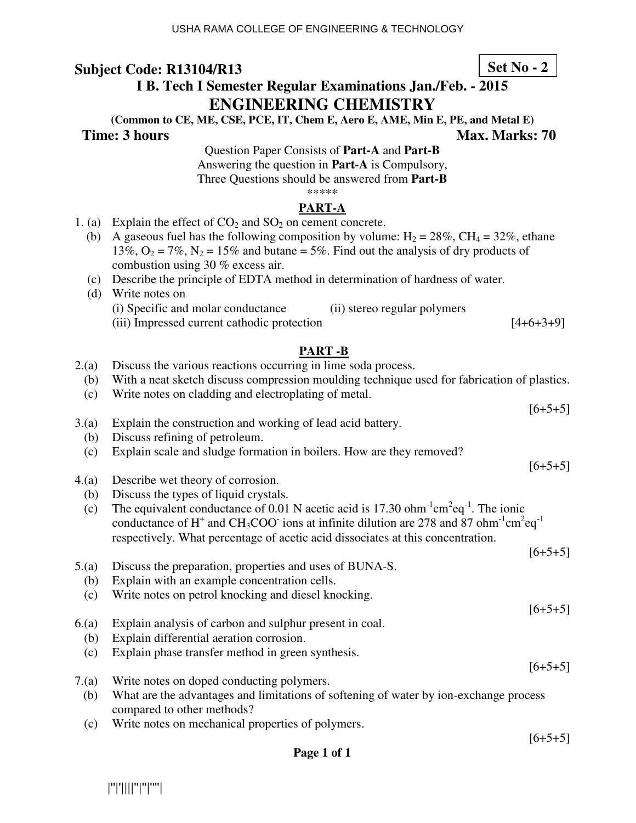# **I B. Tech I Semester Regular Examinations Jan./Feb. - 2015 ENGINEERING CHEMISTRY**

**(Common to CE, ME, CSE, PCE, IT, Chem E, Aero E, AME, Min E, PE, and Metal E)** 

#### **Time: 3 hours Max. Marks: 70 Max. Marks: 70**

Question Paper Consists of **Part-A** and **Part-B** Answering the question in **Part-A** is Compulsory, Three Questions should be answered from **Part-B** \*\*\*\*\*

#### **PART-A**

- 1. (a) Explain the effect of  $CO_2$  and  $SO_2$  on cement concrete.
	- (b) A gaseous fuel has the following composition by volume:  $H_2 = 28\%$ , CH<sub>4</sub> = 32%, ethane 13%,  $O_2 = 7\%$ ,  $N_2 = 15\%$  and butane = 5%. Find out the analysis of dry products of combustion using 30 % excess air.
	- (c) Describe the principle of EDTA method in determination of hardness of water.
	- (d) Write notes on (i) Specific and molar conductance (ii) stereo regular polymers (iii) Impressed current cathodic protection [4+6+3+9]

### **PART -B**

- 2.(a) Discuss the various reactions occurring in lime soda process.
	- (b) With a neat sketch discuss compression moulding technique used for fabrication of plastics.
	- (c) Write notes on cladding and electroplating of metal.
- 3.(a) Explain the construction and working of lead acid battery.
	- (b) Discuss refining of petroleum.
	- (c) Explain scale and sludge formation in boilers. How are they removed?
- 4.(a) Describe wet theory of corrosion.
	- (b) Discuss the types of liquid crystals.
- (c) The equivalent conductance of 0.01 N acetic acid is 17.30 ohm<sup>-1</sup>cm<sup>2</sup>eq<sup>-1</sup>. The ionic conductance of H<sup>+</sup> and CH<sub>3</sub>COO<sup>-</sup> ions at infinite dilution are 278 and 87 ohm<sup>-1</sup>cm<sup>2</sup>eq<sup>-1</sup> respectively. What percentage of acetic acid dissociates at this concentration.
- $[6+5+5]$ 5.(a) Discuss the preparation, properties and uses of BUNA-S. (b) Explain with an example concentration cells. (c) Write notes on petrol knocking and diesel knocking. 6.(a) Explain analysis of carbon and sulphur present in coal. (b) Explain differential aeration corrosion. (c) Explain phase transfer method in green synthesis.
- 7.(a) Write notes on doped conducting polymers. (b) What are the advantages and limitations of softening of water by ion-exchange process compared to other methods?
	- (c) Write notes on mechanical properties of polymers.

**Set No - 2**

 $[6+5+5]$ 

 $[6+5+5]$ 

 $[6+5+5]$ 

 $[6+5+5]$ 

 $[6+5+5]$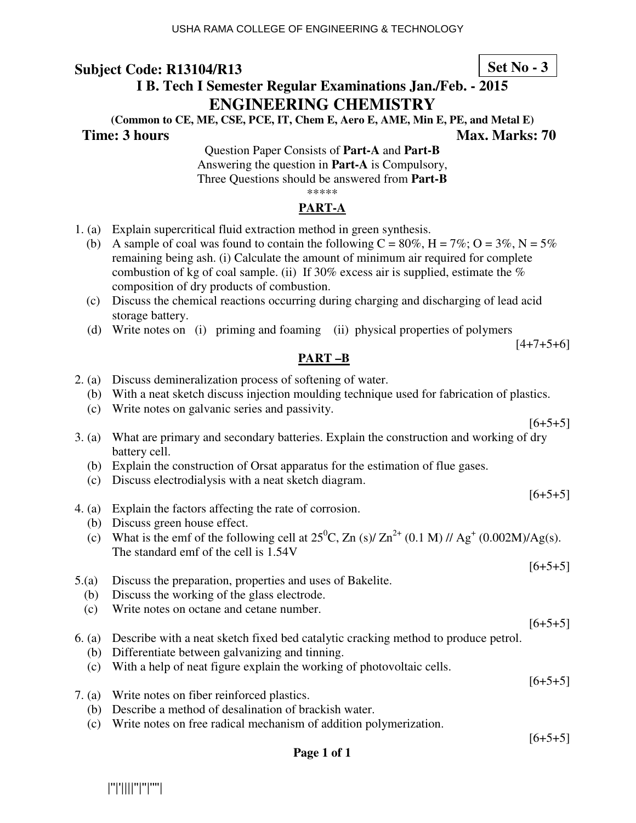# **Set No - 3**

# **I B. Tech I Semester Regular Examinations Jan./Feb. - 2015 ENGINEERING CHEMISTRY**

**(Common to CE, ME, CSE, PCE, IT, Chem E, Aero E, AME, Min E, PE, and Metal E) Time: 3 hours Max. Marks: 70 Max. Marks: 70** 

Question Paper Consists of **Part-A** and **Part-B** Answering the question in **Part-A** is Compulsory, Three Questions should be answered from **Part-B** \*\*\*\*\*

# **PART-A**

- 1. (a) Explain supercritical fluid extraction method in green synthesis.
	- (b) A sample of coal was found to contain the following  $C = 80\%$ ,  $H = 7\%$ ;  $O = 3\%$ ,  $N = 5\%$ remaining being ash. (i) Calculate the amount of minimum air required for complete combustion of kg of coal sample. (ii) If 30% excess air is supplied, estimate the % composition of dry products of combustion.
	- (c) Discuss the chemical reactions occurring during charging and discharging of lead acid storage battery.
	- (d) Write notes on (i) priming and foaming (ii) physical properties of polymers

 $[4+7+5+6]$ 

#### **PART –B**

- 2. (a) Discuss demineralization process of softening of water.
	- (b) With a neat sketch discuss injection moulding technique used for fabrication of plastics.
	- (c) Write notes on galvanic series and passivity.

3. (a) What are primary and secondary batteries. Explain the construction and working of dry battery cell.

- (b) Explain the construction of Orsat apparatus for the estimation of flue gases.
- (c) Discuss electrodialysis with a neat sketch diagram.
- 4. (a) Explain the factors affecting the rate of corrosion.
	- (b) Discuss green house effect.
- (c) What is the emf of the following cell at  $25^{\circ}$ C, Zn (s)/ Zn<sup>2+</sup> (0.1 M) // Ag<sup>+</sup> (0.002M)/Ag(s). The standard emf of the cell is 1.54V
- 5.(a) Discuss the preparation, properties and uses of Bakelite.
	- (b) Discuss the working of the glass electrode.
	- (c) Write notes on octane and cetane number.
- 6. (a) Describe with a neat sketch fixed bed catalytic cracking method to produce petrol.
	- (b) Differentiate between galvanizing and tinning.
	- (c) With a help of neat figure explain the working of photovoltaic cells.
- 7. (a) Write notes on fiber reinforced plastics.
	- (b) Describe a method of desalination of brackish water.
	- (c) Write notes on free radical mechanism of addition polymerization.

 $[6+5+5]$ 

 $[6+5+5]$ 

#### **Page 1 of 1**

|''|'||||''|''|''''|

 $[6+5+5]$ 

 $[6+5+5]$ 

 $[6+5+5]$ 

 $[6+5+5]$